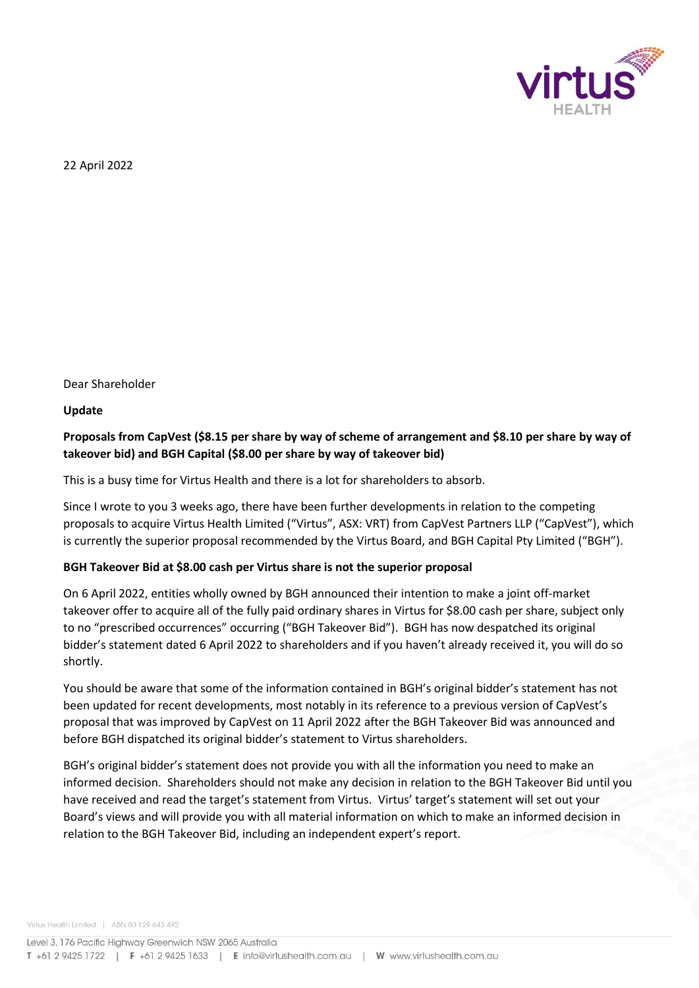

22 April 2022

Dear Shareholder

**Update** 

### **Proposals from CapVest (\$8.15 per share by way of scheme of arrangement and \$8.10 per share by way of takeover bid) and BGH Capital (\$8.00 per share by way of takeover bid)**

This is a busy time for Virtus Health and there is a lot for shareholders to absorb.

Since I wrote to you 3 weeks ago, there have been further developments in relation to the competing proposals to acquire Virtus Health Limited ("Virtus", ASX: VRT) from CapVest Partners LLP ("CapVest"), which is currently the superior proposal recommended by the Virtus Board, and BGH Capital Pty Limited ("BGH").

### **BGH Takeover Bid at \$8.00 cash per Virtus share is not the superior proposal**

On 6 April 2022, entities wholly owned by BGH announced their intention to make a joint off-market takeover offer to acquire all of the fully paid ordinary shares in Virtus for \$8.00 cash per share, subject only to no "prescribed occurrences" occurring ("BGH Takeover Bid"). BGH has now despatched its original bidder's statement dated 6 April 2022 to shareholders and if you haven't already received it, you will do so shortly.

You should be aware that some of the information contained in BGH's original bidder's statement has not been updated for recent developments, most notably in its reference to a previous version of CapVest's proposal that was improved by CapVest on 11 April 2022 after the BGH Takeover Bid was announced and before BGH dispatched its original bidder's statement to Virtus shareholders.

BGH's original bidder's statement does not provide you with all the information you need to make an informed decision. Shareholders should not make any decision in relation to the BGH Takeover Bid until you have received and read the target's statement from Virtus. Virtus' target's statement will set out your Board's views and will provide you with all material information on which to make an informed decision in relation to the BGH Takeover Bid, including an independent expert's report.

Virtus Health Limited | ABN 80 129 643 492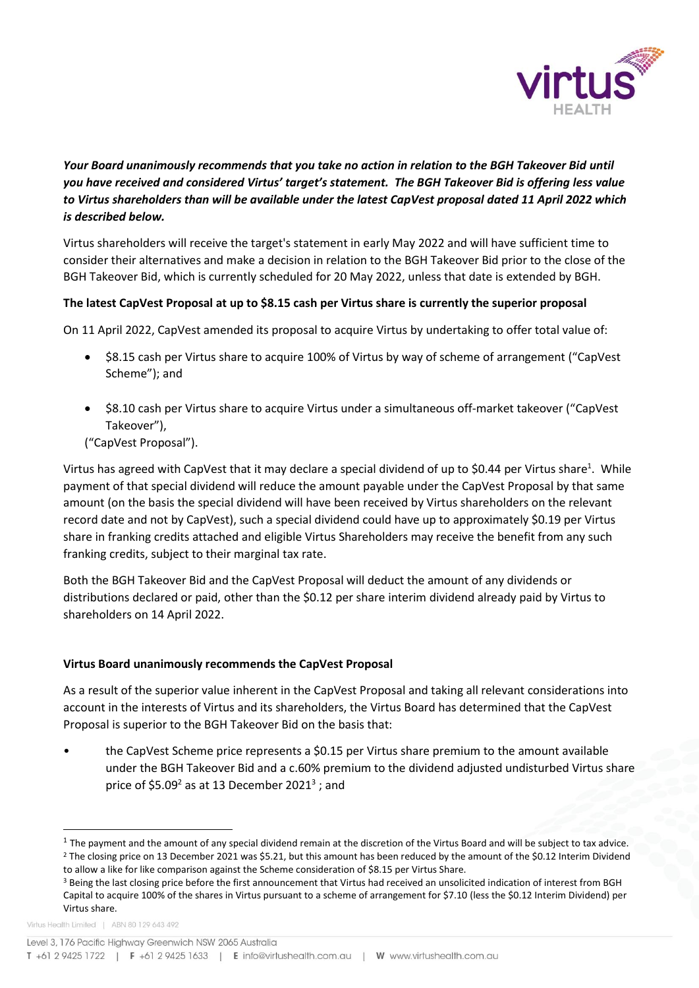

# *Your Board unanimously recommends that you take no action in relation to the BGH Takeover Bid until you have received and considered Virtus' target's statement. The BGH Takeover Bid is offering less value to Virtus shareholders than will be available under the latest CapVest proposal dated 11 April 2022 which is described below.*

Virtus shareholders will receive the target's statement in early May 2022 and will have sufficient time to consider their alternatives and make a decision in relation to the BGH Takeover Bid prior to the close of the BGH Takeover Bid, which is currently scheduled for 20 May 2022, unless that date is extended by BGH.

### **The latest CapVest Proposal at up to \$8.15 cash per Virtus share is currently the superior proposal**

On 11 April 2022, CapVest amended its proposal to acquire Virtus by undertaking to offer total value of:

- \$8.15 cash per Virtus share to acquire 100% of Virtus by way of scheme of arrangement ("CapVest" Scheme"); and
- \$8.10 cash per Virtus share to acquire Virtus under a simultaneous off-market takeover ("CapVest Takeover"),

("CapVest Proposal").

Virtus has agreed with CapVest that it may declare a special dividend of up to \$0.44 per Virtus share<sup>1</sup>. While payment of that special dividend will reduce the amount payable under the CapVest Proposal by that same amount (on the basis the special dividend will have been received by Virtus shareholders on the relevant record date and not by CapVest), such a special dividend could have up to approximately \$0.19 per Virtus share in franking credits attached and eligible Virtus Shareholders may receive the benefit from any such franking credits, subject to their marginal tax rate.

Both the BGH Takeover Bid and the CapVest Proposal will deduct the amount of any dividends or distributions declared or paid, other than the \$0.12 per share interim dividend already paid by Virtus to shareholders on 14 April 2022.

#### **Virtus Board unanimously recommends the CapVest Proposal**

As a result of the superior value inherent in the CapVest Proposal and taking all relevant considerations into account in the interests of Virtus and its shareholders, the Virtus Board has determined that the CapVest Proposal is superior to the BGH Takeover Bid on the basis that:

• the CapVest Scheme price represents a \$0.15 per Virtus share premium to the amount available under the BGH Takeover Bid and a c.60% premium to the dividend adjusted undisturbed Virtus share price of \$5.09<sup>2</sup> as at 13 December 2021<sup>3</sup> ; and

 $\overline{a}$ 

 $^1$  The payment and the amount of any special dividend remain at the discretion of the Virtus Board and will be subject to tax advice.

<sup>&</sup>lt;sup>2</sup> The closing price on 13 December 2021 was \$5.21, but this amount has been reduced by the amount of the \$0.12 Interim Dividend to allow a like for like comparison against the Scheme consideration of \$8.15 per Virtus Share.

<sup>&</sup>lt;sup>3</sup> Being the last closing price before the first announcement that Virtus had received an unsolicited indication of interest from BGH Capital to acquire 100% of the shares in Virtus pursuant to a scheme of arrangement for \$7.10 (less the \$0.12 Interim Dividend) per Virtus share.

Virtus Health Limited | ABN 80 129 643 492

Level 3, 176 Pacific Highway Greenwich NSW 2065 Australia